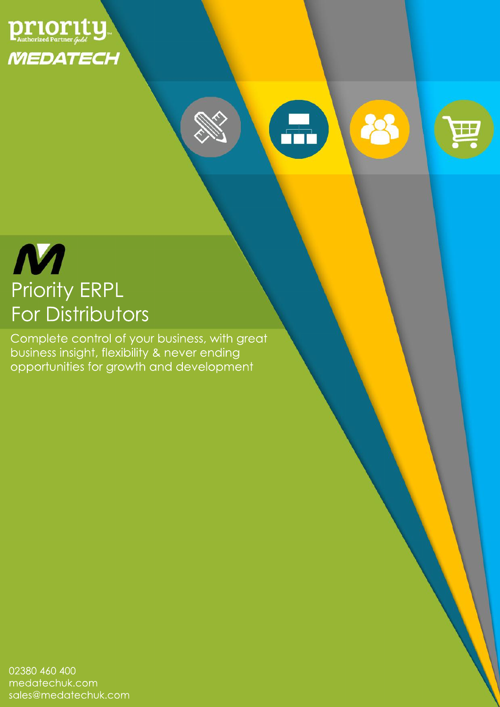

# $\bigoplus$ 28

亜



Complete control of your business, with great business insight, flexibility & never ending opportunities for growth and development

02380 460 400 medatechuk.com sales@medatechuk.com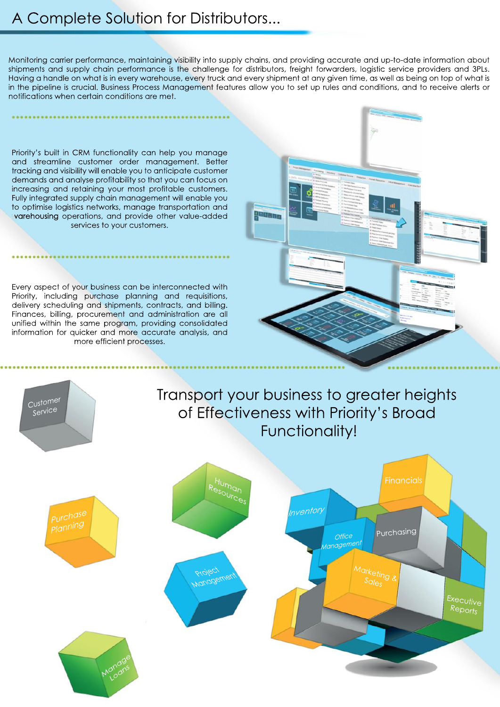# A Complete Solution for Distributors...

Monitoring carrier performance, maintaining visibility into supply chains, and providing accurate and up-to-date information about shipments and supply chain performance is the challenge for distributors, freight forwarders, logistic service providers and 3PLs. Having a handle on what is in every warehouse, every truck and every shipment at any given time, as well as being on top of what is in the pipeline is crucial. Business Process Management features allow you to set up rules and conditions, and to receive alerts or notifications when certain conditions are met.

Priority's built in CRM functionality can help you manage and streamline customer order management. Better tracking and visibility will enable you to anticipate customer demands and analyse profitability so that you can focus on increasing and retaining your most profitable customers. Fully integrated supply chain management will enable you to optimise logistics networks, manage transportation and varehousing operations, and provide other value-added services to your customers.

Every aspect of your business can be interconnected with Priority, including purchase planning and requisitions, delivery scheduling and shipments, contracts, and billing. Finances, billing, procurement and administration are all unified within the same program, providing consolidated information for quicker and more accurate analysis, and more efficient processes.

Customer

Service





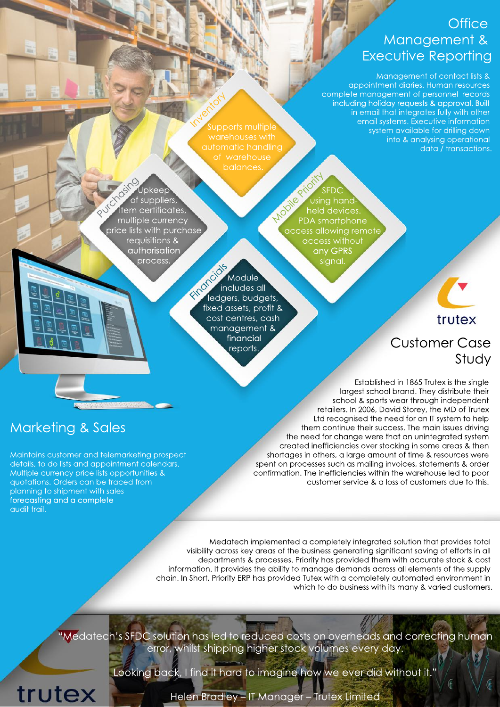## **Office** Management& Executive Reporting

Management of contact lists & appointment diaries. Human resources complete management of personnel records including holiday requests & approval. Built in email that integrates fully with other email systems. Executive information system available for drilling down into & analysing operational data / transactions.

upports multiple warehouses with balances. Indexidad

Upkeep of suppliers **item certificates,** multiple currency price lists with purchase requisitions& authorisation process.

**SFDC** using handheld devices PDA smartphone access allowing remote access without anyGPRS signal. Mobile

**Module** includes all ledgers, budgets, fixed assets, profit & cost centres, cash management& financial reports. Financials

trutex

# Customer Case Study

Established in 1865 Trutex is the single largest school brand. They distribute their school & sports wear through independent retailers. In 2006, David Storey, the MD of Trutex Ltd recognised the need for an IT system to help them continue their success. The main issues driving the need for change were that an unintegrated system created inefficiencies over stocking in some areas & then shortages in others, a large amount of time & resources were spent on processes such as mailing invoices, statements & order confirmation. The inefficiencies within the warehouse led to poor customer service & a loss of customers due to this.

Marketing & Sales

trutex

Maintains customer and telemarketing prospect details, to do lists and appointment calendars. Multiple currency price lists opportunities & quotations. Orders can be traced from planning to shipment with sales forecasting and a complete audit trail.

> Medatech implemented a completely integrated solution that provides total visibility across key areas of the business generating significant saving of efforts in all departments & processes. Priority has provided them with accurate stock & cost information. It provides the ability to manage demands across all elements of the supply chain. In Short, Priority ERP has provided Tutex with a completely automated environment in which to do business with its many & varied customers.

"Medatech's SFDC solution has led to reduced costs on overheads and correcting human error, whilst shipping higher stock volumes every day.

Looking back, I find it hard to imagine how we ever did without it.'

Helen Bradley - IT Manager - Trutex Limited